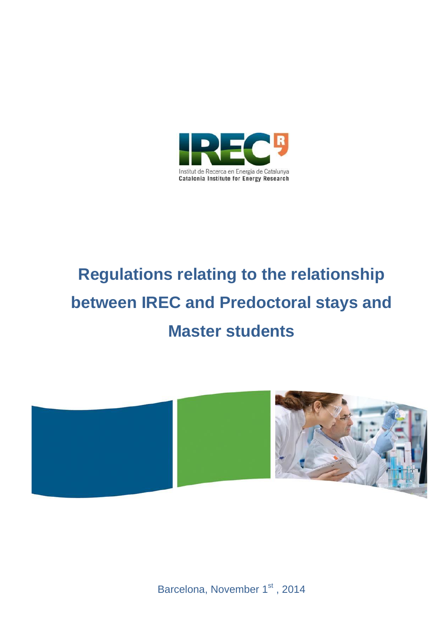

# **Regulations relating to the relationship between IREC and Predoctoral stays and Master students**



Barcelona, November 1st, 2014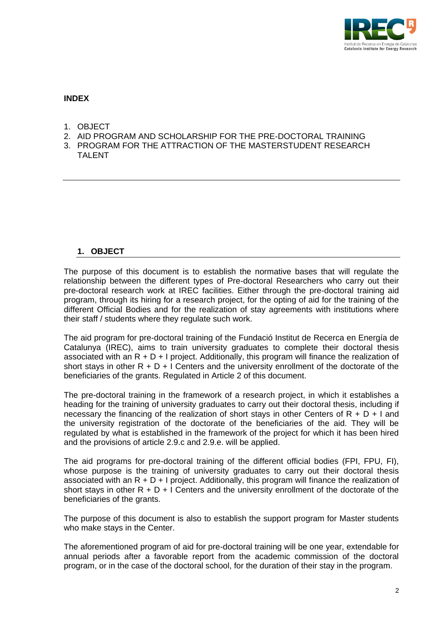

### **INDEX**

- 1. OBJECT
- 2. AID PROGRAM AND SCHOLARSHIP FOR THE PRE-DOCTORAL TRAINING
- 3. PROGRAM FOR THE ATTRACTION OF THE MASTERSTUDENT RESEARCH **TAI FNT**

#### **1. OBJECT**

The purpose of this document is to establish the normative bases that will regulate the relationship between the different types of Pre-doctoral Researchers who carry out their pre-doctoral research work at IREC facilities. Either through the pre-doctoral training aid program, through its hiring for a research project, for the opting of aid for the training of the different Official Bodies and for the realization of stay agreements with institutions where their staff / students where they regulate such work.

The aid program for pre-doctoral training of the Fundació Institut de Recerca en Energía de Catalunya (IREC), aims to train university graduates to complete their doctoral thesis associated with an  $R + D + I$  project. Additionally, this program will finance the realization of short stays in other  $R + D + I$  Centers and the university enrollment of the doctorate of the beneficiaries of the grants. Regulated in Article 2 of this document.

The pre-doctoral training in the framework of a research project, in which it establishes a heading for the training of university graduates to carry out their doctoral thesis, including if necessary the financing of the realization of short stays in other Centers of  $R + D + I$  and the university registration of the doctorate of the beneficiaries of the aid. They will be regulated by what is established in the framework of the project for which it has been hired and the provisions of article 2.9.c and 2.9.e. will be applied.

The aid programs for pre-doctoral training of the different official bodies (FPI, FPU, FI), whose purpose is the training of university graduates to carry out their doctoral thesis associated with an  $R + D + I$  project. Additionally, this program will finance the realization of short stays in other  $R + D + I$  Centers and the university enrollment of the doctorate of the beneficiaries of the grants.

The purpose of this document is also to establish the support program for Master students who make stays in the Center.

The aforementioned program of aid for pre-doctoral training will be one year, extendable for annual periods after a favorable report from the academic commission of the doctoral program, or in the case of the doctoral school, for the duration of their stay in the program.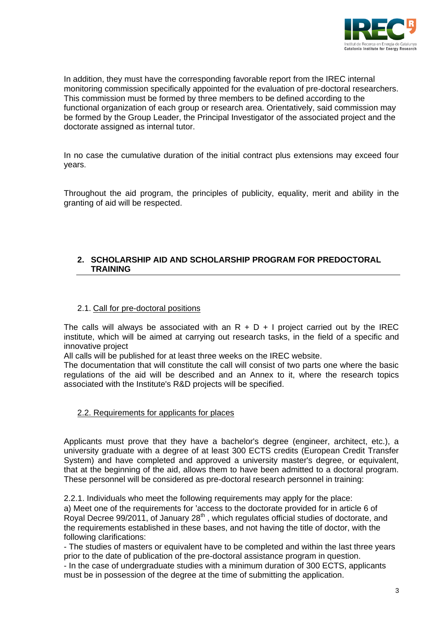

In addition, they must have the corresponding favorable report from the IREC internal monitoring commission specifically appointed for the evaluation of pre-doctoral researchers. This commission must be formed by three members to be defined according to the functional organization of each group or research area. Orientatively, said commission may be formed by the Group Leader, the Principal Investigator of the associated project and the doctorate assigned as internal tutor.

In no case the cumulative duration of the initial contract plus extensions may exceed four years.

Throughout the aid program, the principles of publicity, equality, merit and ability in the granting of aid will be respected.

## **2. SCHOLARSHIP AID AND SCHOLARSHIP PROGRAM FOR PREDOCTORAL TRAINING**

#### 2.1. Call for pre-doctoral positions

The calls will always be associated with an  $R + D + I$  project carried out by the IREC institute, which will be aimed at carrying out research tasks, in the field of a specific and innovative project

All calls will be published for at least three weeks on the IREC website.

The documentation that will constitute the call will consist of two parts one where the basic regulations of the aid will be described and an Annex to it, where the research topics associated with the Institute's R&D projects will be specified.

#### 2.2. Requirements for applicants for places

Applicants must prove that they have a bachelor's degree (engineer, architect, etc.), a university graduate with a degree of at least 300 ECTS credits (European Credit Transfer System) and have completed and approved a university master's degree, or equivalent, that at the beginning of the aid, allows them to have been admitted to a doctoral program. These personnel will be considered as pre-doctoral research personnel in training:

2.2.1. Individuals who meet the following requirements may apply for the place: a) Meet one of the requirements for 'access to the doctorate provided for in article 6 of Royal Decree 99/2011, of January 28<sup>th</sup>, which regulates official studies of doctorate, and the requirements established in these bases, and not having the title of doctor, with the following clarifications:

- The studies of masters or equivalent have to be completed and within the last three years prior to the date of publication of the pre-doctoral assistance program in question. - In the case of undergraduate studies with a minimum duration of 300 ECTS, applicants must be in possession of the degree at the time of submitting the application.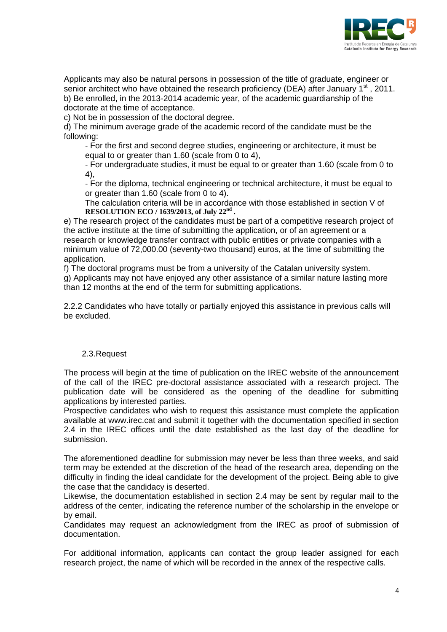

Applicants may also be natural persons in possession of the title of graduate, engineer or senior architect who have obtained the research proficiency (DEA) after January  $1<sup>st</sup>$ , 2011. b) Be enrolled, in the 2013-2014 academic year, of the academic guardianship of the doctorate at the time of acceptance.

c) Not be in possession of the doctoral degree.

d) The minimum average grade of the academic record of the candidate must be the following:

- For the first and second degree studies, engineering or architecture, it must be equal to or greater than 1.60 (scale from 0 to 4),

- For undergraduate studies, it must be equal to or greater than 1.60 (scale from 0 to 4),

- For the diploma, technical engineering or technical architecture, it must be equal to or greater than 1.60 (scale from 0 to 4).

The calculation criteria will be in accordance with those established in section V of **RESOLUTION ECO / 1639/2013, of July 22nd .** 

e) The research project of the candidates must be part of a competitive research project of the active institute at the time of submitting the application, or of an agreement or a research or knowledge transfer contract with public entities or private companies with a minimum value of 72,000.00 (seventy-two thousand) euros, at the time of submitting the application.

f) The doctoral programs must be from a university of the Catalan university system. g) Applicants may not have enjoyed any other assistance of a similar nature lasting more than 12 months at the end of the term for submitting applications.

2.2.2 Candidates who have totally or partially enjoyed this assistance in previous calls will be excluded.

#### 2.3.Request

The process will begin at the time of publication on the IREC website of the announcement of the call of the IREC pre-doctoral assistance associated with a research project. The publication date will be considered as the opening of the deadline for submitting applications by interested parties.

Prospective candidates who wish to request this assistance must complete the application available at www.irec.cat and submit it together with the documentation specified in section 2.4 in the IREC offices until the date established as the last day of the deadline for submission.

The aforementioned deadline for submission may never be less than three weeks, and said term may be extended at the discretion of the head of the research area, depending on the difficulty in finding the ideal candidate for the development of the project. Being able to give the case that the candidacy is deserted.

Likewise, the documentation established in section 2.4 may be sent by regular mail to the address of the center, indicating the reference number of the scholarship in the envelope or by email.

Candidates may request an acknowledgment from the IREC as proof of submission of documentation.

For additional information, applicants can contact the group leader assigned for each research project, the name of which will be recorded in the annex of the respective calls.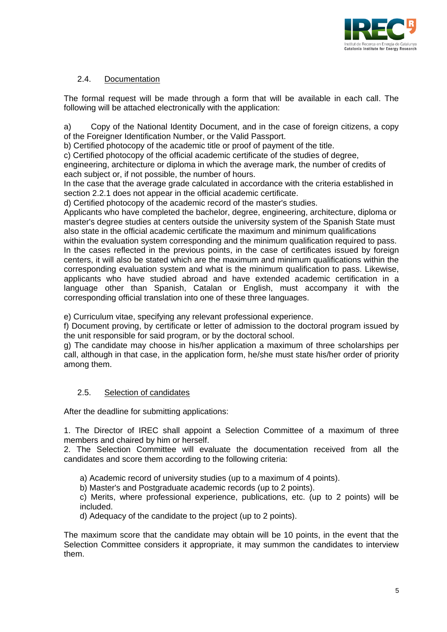

## 2.4. Documentation

The formal request will be made through a form that will be available in each call. The following will be attached electronically with the application:

a) Copy of the National Identity Document, and in the case of foreign citizens, a copy of the Foreigner Identification Number, or the Valid Passport.

b) Certified photocopy of the academic title or proof of payment of the title.

c) Certified photocopy of the official academic certificate of the studies of degree,

engineering, architecture or diploma in which the average mark, the number of credits of each subject or, if not possible, the number of hours.

In the case that the average grade calculated in accordance with the criteria established in section 2.2.1 does not appear in the official academic certificate.

d) Certified photocopy of the academic record of the master's studies.

Applicants who have completed the bachelor, degree, engineering, architecture, diploma or master's degree studies at centers outside the university system of the Spanish State must also state in the official academic certificate the maximum and minimum qualifications within the evaluation system corresponding and the minimum qualification required to pass. In the cases reflected in the previous points, in the case of certificates issued by foreign centers, it will also be stated which are the maximum and minimum qualifications within the corresponding evaluation system and what is the minimum qualification to pass. Likewise, applicants who have studied abroad and have extended academic certification in a

language other than Spanish, Catalan or English, must accompany it with the corresponding official translation into one of these three languages.

e) Curriculum vitae, specifying any relevant professional experience.

f) Document proving, by certificate or letter of admission to the doctoral program issued by the unit responsible for said program, or by the doctoral school.

g) The candidate may choose in his/her application a maximum of three scholarships per call, although in that case, in the application form, he/she must state his/her order of priority among them.

#### 2.5. Selection of candidates

After the deadline for submitting applications:

1. The Director of IREC shall appoint a Selection Committee of a maximum of three members and chaired by him or herself.

2. The Selection Committee will evaluate the documentation received from all the candidates and score them according to the following criteria:

a) Academic record of university studies (up to a maximum of 4 points).

b) Master's and Postgraduate academic records (up to 2 points).

c) Merits, where professional experience, publications, etc. (up to 2 points) will be included.

d) Adequacy of the candidate to the project (up to 2 points).

The maximum score that the candidate may obtain will be 10 points, in the event that the Selection Committee considers it appropriate, it may summon the candidates to interview them.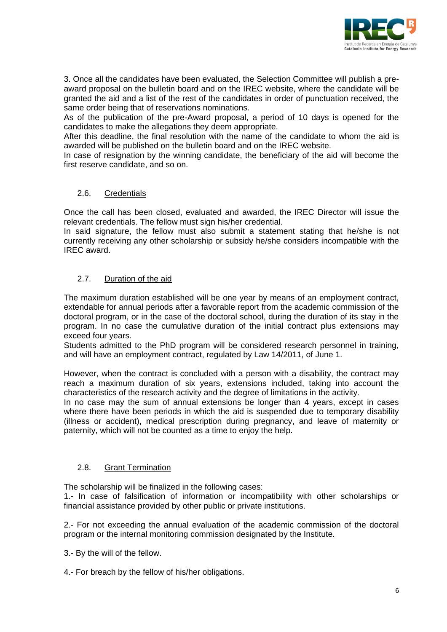

3. Once all the candidates have been evaluated, the Selection Committee will publish a preaward proposal on the bulletin board and on the IREC website, where the candidate will be granted the aid and a list of the rest of the candidates in order of punctuation received, the same order being that of reservations nominations.

As of the publication of the pre-Award proposal, a period of 10 days is opened for the candidates to make the allegations they deem appropriate.

After this deadline, the final resolution with the name of the candidate to whom the aid is awarded will be published on the bulletin board and on the IREC website.

In case of resignation by the winning candidate, the beneficiary of the aid will become the first reserve candidate, and so on.

## 2.6. Credentials

Once the call has been closed, evaluated and awarded, the IREC Director will issue the relevant credentials. The fellow must sign his/her credential.

In said signature, the fellow must also submit a statement stating that he/she is not currently receiving any other scholarship or subsidy he/she considers incompatible with the IREC award.

## 2.7. Duration of the aid

The maximum duration established will be one year by means of an employment contract, extendable for annual periods after a favorable report from the academic commission of the doctoral program, or in the case of the doctoral school, during the duration of its stay in the program. In no case the cumulative duration of the initial contract plus extensions may exceed four years.

Students admitted to the PhD program will be considered research personnel in training, and will have an employment contract, regulated by Law 14/2011, of June 1.

However, when the contract is concluded with a person with a disability, the contract may reach a maximum duration of six years, extensions included, taking into account the characteristics of the research activity and the degree of limitations in the activity.

In no case may the sum of annual extensions be longer than 4 years, except in cases where there have been periods in which the aid is suspended due to temporary disability (illness or accident), medical prescription during pregnancy, and leave of maternity or paternity, which will not be counted as a time to enjoy the help.

#### 2.8. Grant Termination

The scholarship will be finalized in the following cases:

1.- In case of falsification of information or incompatibility with other scholarships or financial assistance provided by other public or private institutions.

2.- For not exceeding the annual evaluation of the academic commission of the doctoral program or the internal monitoring commission designated by the Institute.

3.- By the will of the fellow.

4.- For breach by the fellow of his/her obligations.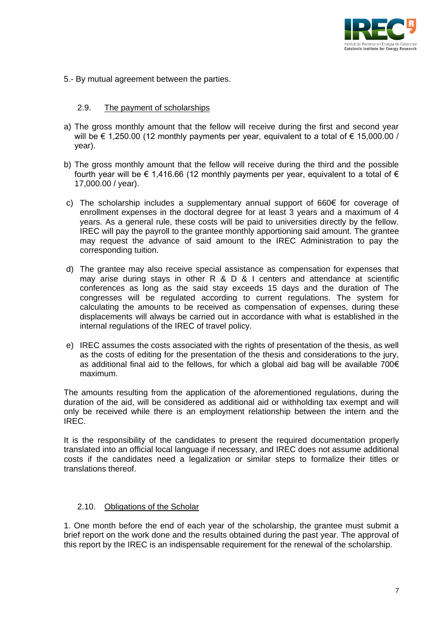

5.- By mutual agreement between the parties.

#### 2.9. The payment of scholarships

- a) The gross monthly amount that the fellow will receive during the first and second year will be € 1,250.00 (12 monthly payments per year, equivalent to a total of € 15,000.00 / year).
- b) The gross monthly amount that the fellow will receive during the third and the possible fourth year will be  $\epsilon$  1,416.66 (12 monthly payments per year, equivalent to a total of  $\epsilon$ 17,000.00 / year).
- c) The scholarship includes a supplementary annual support of 660€ for coverage of enrollment expenses in the doctoral degree for at least 3 years and a maximum of 4 years. As a general rule, these costs will be paid to universities directly by the fellow. IREC will pay the payroll to the grantee monthly apportioning said amount. The grantee may request the advance of said amount to the IREC Administration to pay the corresponding tuition.
- d) The grantee may also receive special assistance as compensation for expenses that may arise during stays in other R & D & I centers and attendance at scientific conferences as long as the said stay exceeds 15 days and the duration of The congresses will be regulated according to current regulations. The system for calculating the amounts to be received as compensation of expenses, during these displacements will always be carried out in accordance with what is established in the internal regulations of the IREC of travel policy.
- e) IREC assumes the costs associated with the rights of presentation of the thesis, as well as the costs of editing for the presentation of the thesis and considerations to the jury, as additional final aid to the fellows, for which a global aid bag will be available 700 $\epsilon$ maximum.

The amounts resulting from the application of the aforementioned regulations, during the duration of the aid, will be considered as additional aid or withholding tax exempt and will only be received while there is an employment relationship between the intern and the IREC.

It is the responsibility of the candidates to present the required documentation properly translated into an official local language if necessary, and IREC does not assume additional costs if the candidates need a legalization or similar steps to formalize their titles or translations thereof.

#### 2.10. Obligations of the Scholar

1. One month before the end of each year of the scholarship, the grantee must submit a brief report on the work done and the results obtained during the past year. The approval of this report by the IREC is an indispensable requirement for the renewal of the scholarship.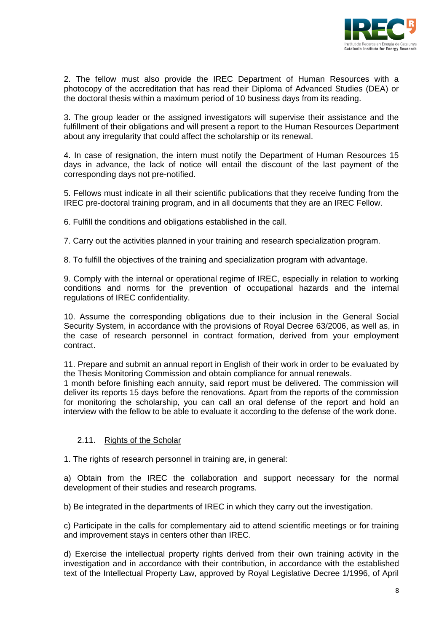

2. The fellow must also provide the IREC Department of Human Resources with a photocopy of the accreditation that has read their Diploma of Advanced Studies (DEA) or the doctoral thesis within a maximum period of 10 business days from its reading.

3. The group leader or the assigned investigators will supervise their assistance and the fulfillment of their obligations and will present a report to the Human Resources Department about any irregularity that could affect the scholarship or its renewal.

4. In case of resignation, the intern must notify the Department of Human Resources 15 days in advance, the lack of notice will entail the discount of the last payment of the corresponding days not pre-notified.

5. Fellows must indicate in all their scientific publications that they receive funding from the IREC pre-doctoral training program, and in all documents that they are an IREC Fellow.

6. Fulfill the conditions and obligations established in the call.

7. Carry out the activities planned in your training and research specialization program.

8. To fulfill the objectives of the training and specialization program with advantage.

9. Comply with the internal or operational regime of IREC, especially in relation to working conditions and norms for the prevention of occupational hazards and the internal regulations of IREC confidentiality.

10. Assume the corresponding obligations due to their inclusion in the General Social Security System, in accordance with the provisions of Royal Decree 63/2006, as well as, in the case of research personnel in contract formation, derived from your employment contract.

11. Prepare and submit an annual report in English of their work in order to be evaluated by the Thesis Monitoring Commission and obtain compliance for annual renewals.

1 month before finishing each annuity, said report must be delivered. The commission will deliver its reports 15 days before the renovations. Apart from the reports of the commission for monitoring the scholarship, you can call an oral defense of the report and hold an interview with the fellow to be able to evaluate it according to the defense of the work done.

#### 2.11. Rights of the Scholar

1. The rights of research personnel in training are, in general:

a) Obtain from the IREC the collaboration and support necessary for the normal development of their studies and research programs.

b) Be integrated in the departments of IREC in which they carry out the investigation.

c) Participate in the calls for complementary aid to attend scientific meetings or for training and improvement stays in centers other than IREC.

d) Exercise the intellectual property rights derived from their own training activity in the investigation and in accordance with their contribution, in accordance with the established text of the Intellectual Property Law, approved by Royal Legislative Decree 1/1996, of April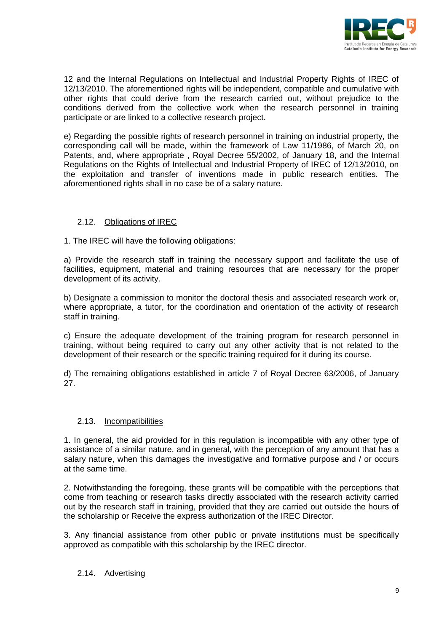

12 and the Internal Regulations on Intellectual and Industrial Property Rights of IREC of 12/13/2010. The aforementioned rights will be independent, compatible and cumulative with other rights that could derive from the research carried out, without prejudice to the conditions derived from the collective work when the research personnel in training participate or are linked to a collective research project.

e) Regarding the possible rights of research personnel in training on industrial property, the corresponding call will be made, within the framework of Law 11/1986, of March 20, on Patents, and, where appropriate , Royal Decree 55/2002, of January 18, and the Internal Regulations on the Rights of Intellectual and Industrial Property of IREC of 12/13/2010, on the exploitation and transfer of inventions made in public research entities. The aforementioned rights shall in no case be of a salary nature.

## 2.12. Obligations of IREC

1. The IREC will have the following obligations:

a) Provide the research staff in training the necessary support and facilitate the use of facilities, equipment, material and training resources that are necessary for the proper development of its activity.

b) Designate a commission to monitor the doctoral thesis and associated research work or, where appropriate, a tutor, for the coordination and orientation of the activity of research staff in training.

c) Ensure the adequate development of the training program for research personnel in training, without being required to carry out any other activity that is not related to the development of their research or the specific training required for it during its course.

d) The remaining obligations established in article 7 of Royal Decree 63/2006, of January 27.

#### 2.13. Incompatibilities

1. In general, the aid provided for in this regulation is incompatible with any other type of assistance of a similar nature, and in general, with the perception of any amount that has a salary nature, when this damages the investigative and formative purpose and / or occurs at the same time.

2. Notwithstanding the foregoing, these grants will be compatible with the perceptions that come from teaching or research tasks directly associated with the research activity carried out by the research staff in training, provided that they are carried out outside the hours of the scholarship or Receive the express authorization of the IREC Director.

3. Any financial assistance from other public or private institutions must be specifically approved as compatible with this scholarship by the IREC director.

#### 2.14. Advertising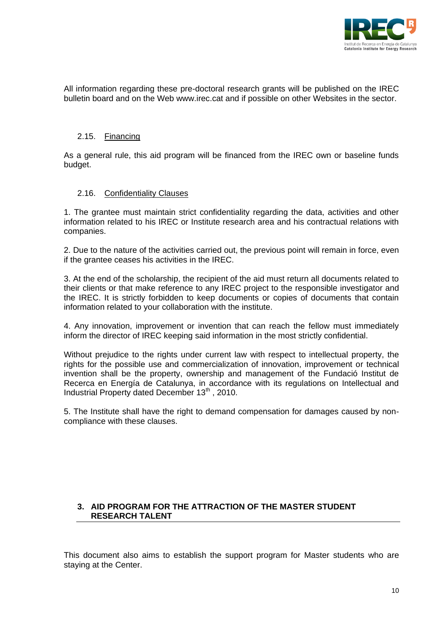

All information regarding these pre-doctoral research grants will be published on the IREC bulletin board and on the Web www.irec.cat and if possible on other Websites in the sector.

### 2.15. Financing

As a general rule, this aid program will be financed from the IREC own or baseline funds budget.

#### 2.16. Confidentiality Clauses

1. The grantee must maintain strict confidentiality regarding the data, activities and other information related to his IREC or Institute research area and his contractual relations with companies.

2. Due to the nature of the activities carried out, the previous point will remain in force, even if the grantee ceases his activities in the IREC.

3. At the end of the scholarship, the recipient of the aid must return all documents related to their clients or that make reference to any IREC project to the responsible investigator and the IREC. It is strictly forbidden to keep documents or copies of documents that contain information related to your collaboration with the institute.

4. Any innovation, improvement or invention that can reach the fellow must immediately inform the director of IREC keeping said information in the most strictly confidential.

Without prejudice to the rights under current law with respect to intellectual property, the rights for the possible use and commercialization of innovation, improvement or technical invention shall be the property, ownership and management of the Fundació Institut de Recerca en Energía de Catalunya, in accordance with its regulations on Intellectual and Industrial Property dated December  $13<sup>th</sup>$ , 2010.

5. The Institute shall have the right to demand compensation for damages caused by noncompliance with these clauses.

## **3. AID PROGRAM FOR THE ATTRACTION OF THE MASTER STUDENT RESEARCH TALENT**

This document also aims to establish the support program for Master students who are staying at the Center.